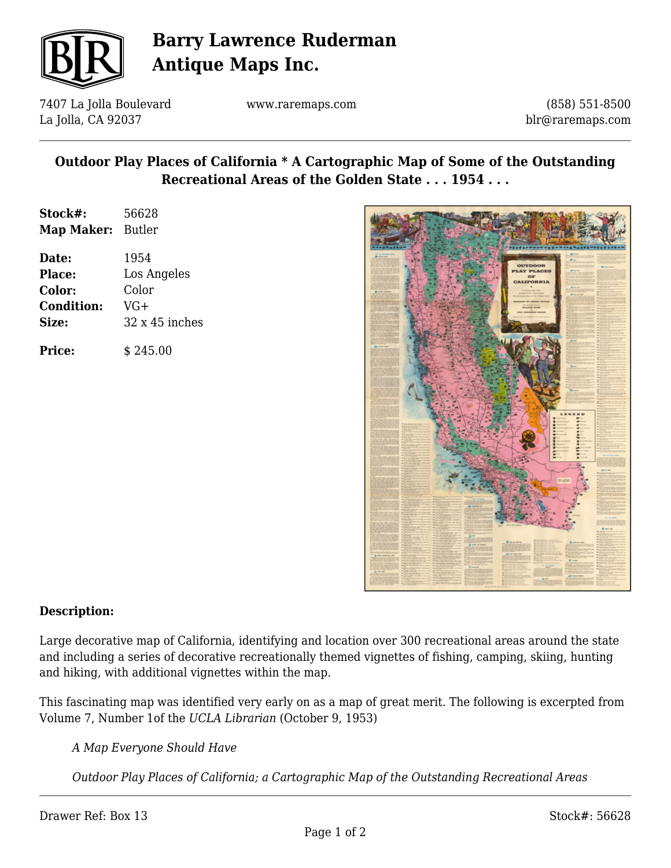

## **Barry Lawrence Ruderman Antique Maps Inc.**

7407 La Jolla Boulevard La Jolla, CA 92037

www.raremaps.com

(858) 551-8500 blr@raremaps.com

### **Outdoor Play Places of California \* A Cartographic Map of Some of the Outstanding Recreational Areas of the Golden State . . . 1954 . . .**

| Date:<br><b>Place:</b><br><b>Color:</b><br><b>Condition:</b><br><b>Size:</b> | 1954<br>Los Angeles<br>Color<br>$VG+$<br>$32 \times 45$ inches |
|------------------------------------------------------------------------------|----------------------------------------------------------------|
|                                                                              |                                                                |

**Price:**  $\qquad$  \$ 245.00



### **Description:**

Large decorative map of California, identifying and location over 300 recreational areas around the state and including a series of decorative recreationally themed vignettes of fishing, camping, skiing, hunting and hiking, with additional vignettes within the map.

This fascinating map was identified very early on as a map of great merit. The following is excerpted from Volume 7, Number 1of the *UCLA Librarian* (October 9, 1953)

*A Map Everyone Should Have*

*Outdoor Play Places of California; a Cartographic Map of the Outstanding Recreational Areas*